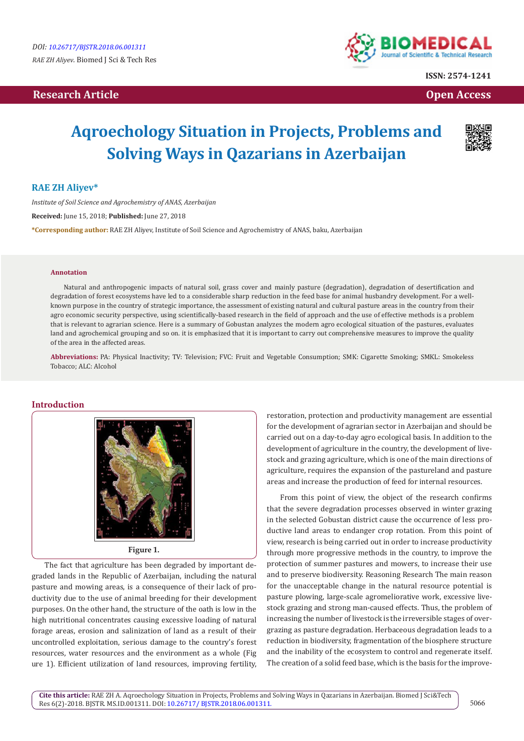## **Research Article Community Community Community Community Community Community Community Community Community Community Community Community Community Community Community Community Community Community Community Community Com**



**ISSN: 2574-1241**

# **Aqroechology Situation in Projects, Problems and Solving Ways in Qazarians in Azerbaijan**



### **RAE ZH Aliyev\***

*Institute of Soil Science and Agrochemistry of ANAS, Azerbaijan* **Received:** June 15, 2018; **Published:** June 27, 2018 **\*Corresponding author:** RAE ZH Aliyev, Institute of Soil Science and Agrochemistry of ANAS, baku, Azerbaijan

#### **Annotation**

Natural and anthropogenic impacts of natural soil, grass cover and mainly pasture (degradation), degradation of desertification and degradation of forest ecosystems have led to a considerable sharp reduction in the feed base for animal husbandry development. For a wellknown purpose in the country of strategic importance, the assessment of existing natural and cultural pasture areas in the country from their agro economic security perspective, using scientifically-based research in the field of approach and the use of effective methods is a problem that is relevant to agrarian science. Here is a summary of Gobustan analyzes the modern agro ecological situation of the pastures, evaluates land and agrochemical grouping and so on. it is emphasized that it is important to carry out comprehensive measures to improve the quality of the area in the affected areas.

**Abbreviations:** PA: Physical Inactivity; TV: Television; FVC: Fruit and Vegetable Consumption; SMK: Cigarette Smoking; SMKL: Smokeless Tobacco; ALC: Alcohol

#### **Introduction**



The fact that agriculture has been degraded by important degraded lands in the Republic of Azerbaijan, including the natural pasture and mowing areas, is a consequence of their lack of productivity due to the use of animal breeding for their development purposes. On the other hand, the structure of the oath is low in the high nutritional concentrates causing excessive loading of natural forage areas, erosion and salinization of land as a result of their uncontrolled exploitation, serious damage to the country's forest resources, water resources and the environment as a whole (Fig ure 1). Efficient utilization of land resources, improving fertility, restoration, protection and productivity management are essential for the development of agrarian sector in Azerbaijan and should be carried out on a day-to-day agro ecological basis. In addition to the development of agriculture in the country, the development of livestock and grazing agriculture, which is one of the main directions of agriculture, requires the expansion of the pastureland and pasture areas and increase the production of feed for internal resources.

From this point of view, the object of the research confirms that the severe degradation processes observed in winter grazing in the selected Gobustan district cause the occurrence of less productive land areas to endanger crop rotation. From this point of view, research is being carried out in order to increase productivity through more progressive methods in the country, to improve the protection of summer pastures and mowers, to increase their use and to preserve biodiversity. Reasoning Research The main reason for the unacceptable change in the natural resource potential is pasture plowing, large-scale agromeliorative work, excessive livestock grazing and strong man-caused effects. Thus, the problem of increasing the number of livestock is the irreversible stages of overgrazing as pasture degradation. Herbaceous degradation leads to a reduction in biodiversity, fragmentation of the biosphere structure and the inability of the ecosystem to control and regenerate itself. The creation of a solid feed base, which is the basis for the improve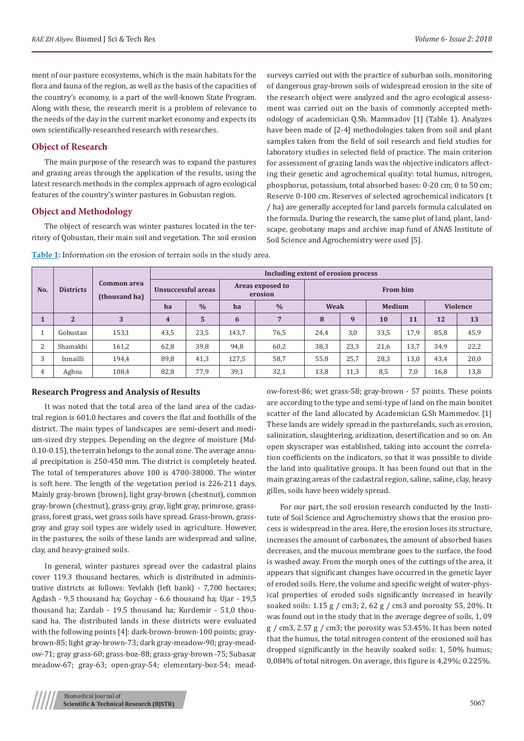ment of our pasture ecosystems, which is the main habitats for the flora and fauna of the region, as well as the basis of the capacities of the country's economy, is a part of the well-known State Program. Along with these, the research merit is a problem of relevance to the needs of the day in the current market economy and expects its own scientifically-researched research with researches.

#### **Object of Research**

The main purpose of the research was to expand the pastures and grazing areas through the application of the results, using the latest research methods in the complex approach of agro ecological features of the country's winter pastures in Gobustan region.

#### **Object and Methodology**

The object of research was winter pastures located in the territory of Qobustan, their main soil and vegetation. The soil erosion surveys carried out with the practice of suburban soils, monitoring of dangerous gray-brown soils of widespread erosion in the site of the research object were analyzed and the agro ecological assessment was carried out on the basis of commonly accepted methodology of academician Q.Sh. Mammadov [1] (Table 1). Analyzes have been made of [2-4] methodologies taken from soil and plant samples taken from the field of soil research and field studies for laboratory studies in selected field of practice. The main criterion for assessment of grazing lands was the objective indicators affecting their genetic and agrochemical quality: total humus, nitrogen, phosphorus, potassium, total absorbed bases: 0-20 cm; 0 to 50 cm; Reserve 0-100 cm. Reserves of selected agrochemical indicators (t / ha) are generally accepted for land parcels formula calculated on the formula. During the research, the same plot of land, plant, landscape, geobotany maps and archive map fund of ANAS Institute of Soil Science and Agrochemistry were used [5].

| No. | <b>Districts</b> | <b>Common area</b><br>(thousand ha) | Including extent of erosion process |               |                             |               |                 |      |               |      |                 |      |  |
|-----|------------------|-------------------------------------|-------------------------------------|---------------|-----------------------------|---------------|-----------------|------|---------------|------|-----------------|------|--|
|     |                  |                                     | Unsuccessful areas                  |               | Areas exposed to<br>erosion |               | <b>From him</b> |      |               |      |                 |      |  |
|     |                  |                                     | ha                                  | $\frac{0}{0}$ | ha                          | $\frac{0}{0}$ | Weak            |      | <b>Medium</b> |      | <b>Violence</b> |      |  |
|     | $\overline{2}$   | 3                                   | 4                                   | 5             | 6                           | 7             | 8               | 9    | <b>10</b>     | 11   | 12              | 13   |  |
|     | Gobustan         | 153,1                               | 43,5                                | 23,5          | 143,7                       | 76,5          | 24,4            | 3,0  | 33,5          | 17,9 | 85,8            | 45,9 |  |
| 2   | Shamakhi         | 161,2                               | 62,8                                | 39,8          | 94,8                        | 60,2          | 38,3            | 23,3 | 21,6          | 13,7 | 34,9            | 22,2 |  |
| 3   | Ismailli         | 194,4                               | 89,8                                | 41,3          | 127,5                       | 58,7          | 55,8            | 25,7 | 28,3          | 13,0 | 43,4            | 20,0 |  |
| 4   | Aghsu            | 108,4                               | 82,8                                | 77,9          | 39,1                        | 32,1          | 13,8            | 11,3 | 8,5           | 7,0  | 16,8            | 13,8 |  |

**Table 1:** Information on the erosion of terrain soils in the study area.

#### **Research Progress and Analysis of Results**

It was noted that the total area of the land area of the cadastral region is 601.0 hectares and covers the flat and foothills of the district. The main types of landscapes are semi-desert and medium-sized dry steppes. Depending on the degree of moisture (Md-0.10-0.15), the terrain belongs to the zonal zone. The average annual precipitation is 250-450 mm. The district is completely heated. The total of temperatures above 100 is 4700-38000. The winter is soft here. The length of the vegetation period is 226-211 days. Mainly gray-brown (brown), light gray-brown (chestnut), common gray-brown (chestnut), grass-gray, gray, light gray, primrose, grassgrass, forest grass, wet grass soils have spread. Grass-brown, grassgray and gray soil types are widely used in agriculture. However, in the pastures, the soils of these lands are widespread and saline, clay, and heavy-grained soils.

In general, winter pastures spread over the cadastral plains cover 119.3 thousand hectares, which is distributed in administrative districts as follows: Yevlakh (left bank) - 7,700 hectares; Agdash - 9,5 thousand ha; Goychay - 6.6 thousand ha; Ujar - 19,5 thousand ha; Zardab - 19.5 thousand ha; Kurdemir - 51,0 thousand ha. The distributed lands in these districts were evaluated with the following points [4]: dark-brown-brown-100 points; graybrown-85; light gray-brown-73; dark gray-meadow-90; gray-meadow-71; gray grass-60; grass-boz-88; grass-gray-brown -75; Subasar meadow-67; gray-63; open-gray-54; elementary-boz-54; meadow-forest-86; wet grass-58; gray-brown - 57 points. These points are according to the type and semi-type of land on the main bonitet scatter of the land allocated by Academician G.Sh Mammedov. [1] These lands are widely spread in the pasturelands, such as erosion, salinization, slaughtering, aridization, desertification and so on. An open skyscraper was established, taking into account the correlation coefficients on the indicators, so that it was possible to divide the land into qualitative groups. It has been found out that in the main grazing areas of the cadastral region, saline, saline, clay, heavy gilles, soils have been widely spread.

For our part, the soil erosion research conducted by the Institute of Soil Science and Agrochemistry shows that the erosion process is widespread in the area. Here, the erosion loses its structure, increases the amount of carbonates, the amount of absorbed bases decreases, and the mucous membrane goes to the surface, the food is washed away. From the morph ones of the cuttings of the area, it appears that significant changes have occurred in the genetic layer of eroded soils. Here, the volume and specific weight of water-physical properties of eroded soils significantly increased in heavily soaked soils: 1.15 g / cm3; 2, 62 g / cm3 and porosity 55, 20%. It was found out in the study that in the average degree of soils, 1, 09  $g$  / cm3, 2.57  $g$  / cm3; the porosity was 53.45%. It has been noted that the humus, the total nitrogen content of the erosioned soil has dropped significantly in the heavily soaked soils: 1, 50% humus; 0,084% of total nitrogen. On average, this figure is 4,29%; 0.225%.